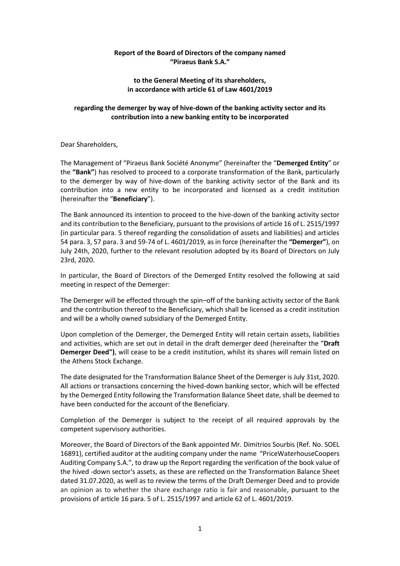## **Report of the Board of Directors of the company named "Piraeus Bank S.A."**

## **to the General Meeting of its shareholders, in accordance with article 61 of Law 4601/2019**

# **regarding the demerger by way of hive-down of the banking activity sector and its contribution into a new banking entity to be incorporated**

Dear Shareholders,

The Management of "Piraeus Bank Société Anonyme" (hereinafter the "**Demerged Entity**" or the **"Bank"**) has resolved to proceed to a corporate transformation of the Bank, particularly to the demerger by way of hive-down of the banking activity sector of the Bank and its contribution into a new entity to be incorporated and licensed as a credit institution (hereinafter the "**Beneficiary**").

The Bank announced its intention to proceed to the hive-down of the banking activity sector and its contribution to the Beneficiary, pursuant to the provisions of article 16 of L. 2515/1997 (in particular para. 5 thereof regarding the consolidation of assets and liabilities) and articles 54 para. 3, 57 para. 3 and 59-74 of L. 4601/2019, as in force (hereinafter the **"Demerger"**), on July 24th, 2020, further to the relevant resolution adopted by its Board of Directors on July 23rd, 2020.

In particular, the Board of Directors of the Demerged Entity resolved the following at said meeting in respect of the Demerger:

The Demerger will be effected through the spin–off of the banking activity sector of the Bank and the contribution thereof to the Beneficiary, which shall be licensed as a credit institution and will be a wholly owned subsidiary of the Demerged Entity.

Upon completion of the Demerger, the Demerged Entity will retain certain assets, liabilities and activities, which are set out in detail in the draft demerger deed (hereinafter the "**Draft Demerger Deed")**, will cease to be a credit institution, whilst its shares will remain listed on the Athens Stock Exchange.

The date designated for the Transformation Balance Sheet of the Demerger is July 31st, 2020. All actions or transactions concerning the hived-down banking sector, which will be effected by the Demerged Entity following the Transformation Balance Sheet date, shall be deemed to have been conducted for the account of the Beneficiary.

Completion of the Demerger is subject to the receipt of all required approvals by the competent supervisory authorities.

Moreover, the Board of Directors of the Bank appointed Mr. Dimitrios Sourbis (Ref. No. SOEL 16891), certified auditor at the auditing company under the name "PriceWaterhouseCoopers Auditing Company S.A.", to draw up the Report regarding the verification of the book value of the hived -down sector's assets, as these are reflected on the Transformation Balance Sheet dated 31.07.2020, as well as to review the terms of the Draft Demerger Deed and to provide an opinion as to whether the share exchange ratio is fair and reasonable, pursuant to the provisions of article 16 para. 5 of L. 2515/1997 and article 62 of L. 4601/2019.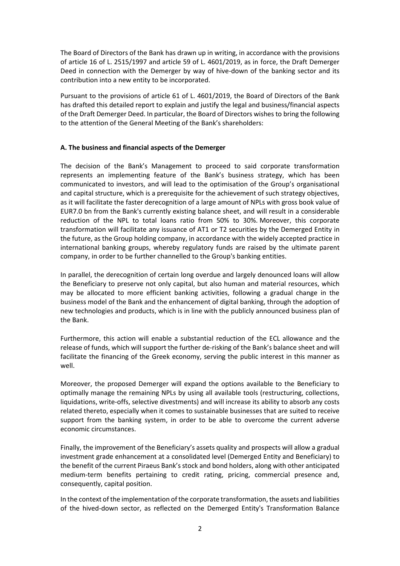The Board of Directors of the Bank has drawn up in writing, in accordance with the provisions of article 16 of L. 2515/1997 and article 59 of L. 4601/2019, as in force, the Draft Demerger Deed in connection with the Demerger by way of hive-down of the banking sector and its contribution into a new entity to be incorporated.

Pursuant to the provisions of article 61 of L. 4601/2019, the Board of Directors of the Bank has drafted this detailed report to explain and justify the legal and business/financial aspects of the Draft Demerger Deed. In particular, the Board of Directors wishes to bring the following to the attention of the General Meeting of the Bank's shareholders:

### **Α. The business and financial aspects of the Demerger**

The decision of the Bank's Management to proceed to said corporate transformation represents an implementing feature of the Bank's business strategy, which has been communicated to investors, and will lead to the optimisation of the Group's organisational and capital structure, which is a prerequisite for the achievement of such strategy objectives, as it will facilitate the faster derecognition of a large amount of NPLs with gross book value of EUR7.0 bn from the Bank's currently existing balance sheet, and will result in a considerable reduction of the NPL to total loans ratio from 50% to 30%. Moreover, this corporate transformation will facilitate any issuance of AT1 or Τ2 securities by the Demerged Entity in the future, as the Group holding company, in accordance with the widely accepted practice in international banking groups, whereby regulatory funds are raised by the ultimate parent company, in order to be further channelled to the Group's banking entities.

In parallel, the derecognition of certain long overdue and largely denounced loans will allow the Beneficiary to preserve not only capital, but also human and material resources, which may be allocated to more efficient banking activities, following a gradual change in the business model of the Bank and the enhancement of digital banking, through the adoption of new technologies and products, which is in line with the publicly announced business plan of the Bank.

Furthermore, this action will enable a substantial reduction of the ECL allowance and the release of funds, which will support the further de-risking of the Bank's balance sheet and will facilitate the financing of the Greek economy, serving the public interest in this manner as well.

Moreover, the proposed Demerger will expand the options available to the Beneficiary to optimally manage the remaining NPLs by using all available tools (restructuring, collections, liquidations, write-offs, selective divestments) and will increase its ability to absorb any costs related thereto, especially when it comes to sustainable businesses that are suited to receive support from the banking system, in order to be able to overcome the current adverse economic circumstances.

Finally, the improvement of the Beneficiary's assets quality and prospects will allow a gradual investment grade enhancement at a consolidated level (Demerged Entity and Beneficiary) to the benefit of the current Piraeus Bank's stock and bond holders, along with other anticipated medium-term benefits pertaining to credit rating, pricing, commercial presence and, consequently, capital position.

In the context of the implementation of the corporate transformation, the assets and liabilities of the hived-down sector, as reflected on the Demerged Entity's Transformation Balance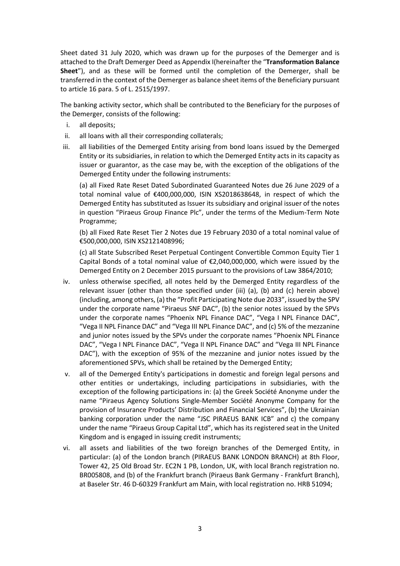Sheet dated 31 July 2020, which was drawn up for the purposes of the Demerger and is attached to the Draft Demerger Deed as Appendix I(hereinafter the "**Transformation Balance Sheet**"), and as these will be formed until the completion of the Demerger, shall be transferred in the context of the Demerger as balance sheet items of the Beneficiary pursuant to article 16 para. 5 of L. 2515/1997.

The banking activity sector, which shall be contributed to the Beneficiary for the purposes of the Demerger, consists of the following:

- i. all deposits;
- ii. all loans with all their corresponding collaterals;
- iii. all liabilities of the Demerged Entity arising from bond loans issued by the Demerged Entity or its subsidiaries, in relation to which the Demerged Entity acts in its capacity as issuer or guarantor, as the case may be, with the exception of the obligations of the Demerged Entity under the following instruments:

(a) all Fixed Rate Reset Dated Subordinated Guaranteed Notes due 26 June 2029 of a total nominal value of €400,000,000, ISIN XS2018638648, in respect of which the Demerged Entity has substituted as Issuer its subsidiary and original issuer of the notes in question "Piraeus Group Finance Plc", under the terms of the Medium-Term Note Programme;

(b) all Fixed Rate Reset Tier 2 Notes due 19 February 2030 of a total nominal value of €500,000,000, ISIN XS2121408996;

(c) all State Subscribed Reset Perpetual Contingent Convertible Common Equity Tier 1 Capital Bonds of a total nominal value of  $E2,040,000,000$ , which were issued by the Demerged Entity on 2 December 2015 pursuant to the provisions of Law 3864/2010;

- iv. unless otherwise specified, all notes held by the Demerged Entity regardless of the relevant issuer (other than those specified under (iii) (a), (b) and (c) herein above) (including, among others, (a) the "Profit Participating Note due 2033", issued by the SPV under the corporate name "Piraeus SNF DAC", (b) the senior notes issued by the SPVs under the corporate names "Phoenix NPL Finance DAC", "Vega I NPL Finance DAC", "Vega II NPL Finance DAC" and "Vega III NPL Finance DAC", and (c) 5% of the mezzanine and junior notes issued by the SPVs under the corporate names "Phoenix NPL Finance DAC", "Vega I NPL Finance DAC", "Vega II NPL Finance DAC" and "Vega III NPL Finance DAC"), with the exception of 95% of the mezzanine and junior notes issued by the aforementioned SPVs, which shall be retained by the Demerged Entity;
- v. all of the Demerged Entity's participations in domestic and foreign legal persons and other entities or undertakings, including participations in subsidiaries, with the exception of the following participations in: (a) the Greek Société Anonyme under the name "Piraeus Agency Solutions Single-Member Société Anonyme Company for the provision of Insurance Products' Distribution and Financial Services", (b) the Ukrainian banking corporation under the name "JSC PIRAEUS BANK ICB" and c) the company under the name "Piraeus Group Capital Ltd", which has its registered seat in the United Kingdom and is engaged in issuing credit instruments;
- vi. all assets and liabilities of the two foreign branches of the Demerged Entity, in particular: (a) of the London branch (PIRAEUS BANK LONDON BRANCH) at 8th Floor, Tower 42, 25 Old Broad Str. EC2N 1 PB, London, UK, with local Branch registration no. BR005808, and (b) of the Frankfurt branch (Piraeus Bank Germany - Frankfurt Branch), at Baseler Str. 46 D-60329 Frankfurt am Main, with local registration no. HRB 51094;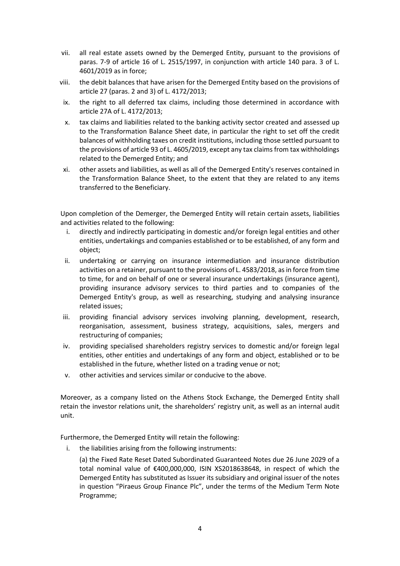- vii. all real estate assets owned by the Demerged Entity, pursuant to the provisions of paras. 7-9 of article 16 of L. 2515/1997, in conjunction with article 140 para. 3 of L. 4601/2019 as in force;
- viii. the debit balances that have arisen for the Demerged Entity based on the provisions of article 27 (paras. 2 and 3) of L. 4172/2013;
- ix. the right to all deferred tax claims, including those determined in accordance with article 27Α of L. 4172/2013;
- x. tax claims and liabilities related to the banking activity sector created and assessed up to the Transformation Balance Sheet date, in particular the right to set off the credit balances of withholding taxes on credit institutions, including those settled pursuant to the provisions of article 93 of L. 4605/2019, except any tax claims from tax withholdings related to the Demerged Entity; and
- xi. other assets and liabilities, as well as all of the Demerged Entity's reserves contained in the Transformation Balance Sheet, to the extent that they are related to any items transferred to the Beneficiary.

Upon completion of the Demerger, the Demerged Entity will retain certain assets, liabilities and activities related to the following:

- i. directly and indirectly participating in domestic and/or foreign legal entities and other entities, undertakings and companies established or to be established, of any form and object;
- ii. undertaking or carrying on insurance intermediation and insurance distribution activities on a retainer, pursuant to the provisions of L. 4583/2018, as in force from time to time, for and on behalf of one or several insurance undertakings (insurance agent), providing insurance advisory services to third parties and to companies of the Demerged Entity's group, as well as researching, studying and analysing insurance related issues;
- iii. providing financial advisory services involving planning, development, research, reorganisation, assessment, business strategy, acquisitions, sales, mergers and restructuring of companies;
- iv. providing specialised shareholders registry services to domestic and/or foreign legal entities, other entities and undertakings of any form and object, established or to be established in the future, whether listed on a trading venue or not;
- v. other activities and services similar or conducive to the above.

Moreover, as a company listed on the Athens Stock Exchange, the Demerged Entity shall retain the investor relations unit, the shareholders' registry unit, as well as an internal audit unit.

Furthermore, the Demerged Entity will retain the following:

i. the liabilities arising from the following instruments:

(a) the Fixed Rate Reset Dated Subordinated Guaranteed Notes due 26 June 2029 of a total nominal value of €400,000,000, ISIN XS2018638648, in respect of which the Demerged Entity has substituted as Issuer its subsidiary and original issuer of the notes in question "Piraeus Group Finance Plc", under the terms of the Medium Term Note Programme;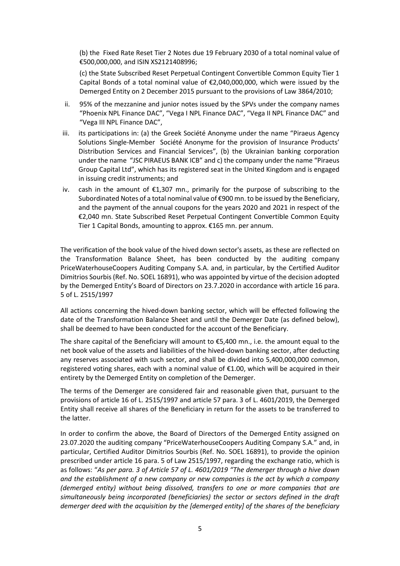(b) the Fixed Rate Reset Tier 2 Notes due 19 February 2030 of a total nominal value of €500,000,000, and ISIN XS2121408996;

(c) the State Subscribed Reset Perpetual Contingent Convertible Common Equity Tier 1 Capital Bonds of a total nominal value of  $\epsilon$ 2,040,000,000, which were issued by the Demerged Entity on 2 December 2015 pursuant to the provisions of Law 3864/2010;

- ii. 95% of the mezzanine and junior notes issued by the SPVs under the company names "Phoenix NPL Finance DAC", "Vega I NPL Finance DAC", "Vega II NPL Finance DAC" and "Vega III NPL Finance DAC",
- iii. its participations in: (a) the Greek Société Anonyme under the name "Piraeus Agency Solutions Single-Member Société Anonyme for the provision of Insurance Products' Distribution Services and Financial Services", (b) the Ukrainian banking corporation under the name "JSC PIRAEUS BANK ICB" and c) the company under the name "Piraeus Group Capital Ltd", which has its registered seat in the United Kingdom and is engaged in issuing credit instruments; and
- iv. cash in the amount of €1,307 mn., primarily for the purpose of subscribing to the Subordinated Notes of a total nominal value of €900 mn. to be issued by the Beneficiary, and the payment of the annual coupons for the years 2020 and 2021 in respect of the €2,040 mn. State Subscribed Reset Perpetual Contingent Convertible Common Equity Tier 1 Capital Bonds, amounting to approx. €165 mn. per annum.

The verification of the book value of the hived down sector's assets, as these are reflected on the Transformation Balance Sheet, has been conducted by the auditing company PriceWaterhouseCoopers Auditing Company S.A. and, in particular, by the Certified Auditor Dimitrios Sourbis (Ref. No. SOEL 16891), who was appointed by virtue of the decision adopted by the Demerged Entity's Board of Directors on 23.7.2020 in accordance with article 16 para. 5 of L. 2515/1997

All actions concerning the hived-down banking sector, which will be effected following the date of the Transformation Balance Sheet and until the Demerger Date (as defined below), shall be deemed to have been conducted for the account of the Beneficiary.

The share capital of the Beneficiary will amount to €5,400 mn., i.e. the amount equal to the net book value of the assets and liabilities of the hived-down banking sector, after deducting any reserves associated with such sector, and shall be divided into 5,400,000,000 common, registered voting shares, each with a nominal value of €1.00, which will be acquired in their entirety by the Demerged Entity on completion of the Demerger.

The terms of the Demerger are considered fair and reasonable given that, pursuant to the provisions of article 16 of L. 2515/1997 and article 57 para. 3 of L. 4601/2019, the Demerged Entity shall receive all shares of the Beneficiary in return for the assets to be transferred to the latter.

In order to confirm the above, the Board of Directors of the Demerged Entity assigned on 23.07.2020 the auditing company "PriceWaterhouseCoopers Auditing Company S.A." and, in particular, Certified Auditor Dimitrios Sourbis (Ref. No. SOEL 16891), to provide the opinion prescribed under article 16 para. 5 of Law 2515/1997, regarding the exchange ratio, which is as follows: "*As per para. 3 of Article 57 of L. 4601/2019 "The demerger through a hive down and the establishment of a new company or new companies is the act by which a company (demerged entity) without being dissolved, transfers to one or more companies that are simultaneously being incorporated (beneficiaries) the sector or sectors defined in the draft demerger deed with the acquisition by the [demerged entity] of the shares of the beneficiary*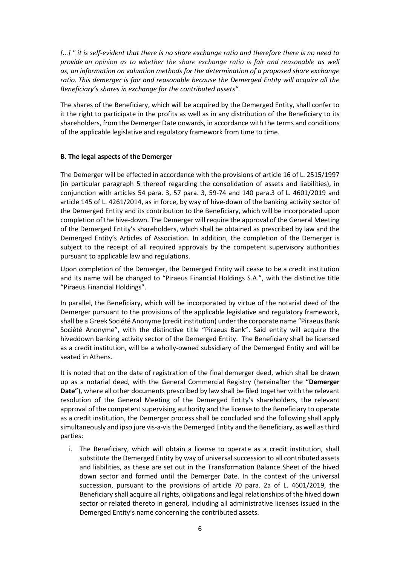*[...] " it is self-evident that there is no share exchange ratio and therefore there is no need to provide an opinion as to whether the share exchange ratio is fair and reasonable as well as, an information on valuation methods for the determination of a proposed share exchange ratio. This demerger is fair and reasonable because the Demerged Entity will acquire all the Beneficiary's shares in exchange for the contributed assets".*

The shares of the Beneficiary, which will be acquired by the Demerged Entity, shall confer to it the right to participate in the profits as well as in any distribution of the Beneficiary to its shareholders, from the Demerger Date onwards, in accordance with the terms and conditions of the applicable legislative and regulatory framework from time to time.

## **Β. The legal aspects of the Demerger**

The Demerger will be effected in accordance with the provisions of article 16 of L. 2515/1997 (in particular paragraph 5 thereof regarding the consolidation of assets and liabilities), in conjunction with articles 54 para. 3, 57 para. 3, 59-74 and 140 para.3 of L. 4601/2019 and article 145 of L. 4261/2014, as in force, by way of hive-down of the banking activity sector of the Demerged Entity and its contribution to the Beneficiary, which will be incorporated upon completion of the hive-down. The Demerger will require the approval of the General Meeting of the Demerged Entity's shareholders, which shall be obtained as prescribed by law and the Demerged Entity's Articles of Association. In addition, the completion of the Demerger is subject to the receipt of all required approvals by the competent supervisory authorities pursuant to applicable law and regulations.

Upon completion of the Demerger, the Demerged Entity will cease to be a credit institution and its name will be changed to "Piraeus Financial Holdings S.A.", with the distinctive title "Piraeus Financial Holdings".

In parallel, the Beneficiary, which will be incorporated by virtue of the notarial deed of the Demerger pursuant to the provisions of the applicable legislative and regulatory framework, shall be a Greek Société Anonyme (credit institution) under the corporate name "Piraeus Bank Société Anonyme", with the distinctive title "Piraeus Bank". Said entity will acquire the hiveddown banking activity sector of the Demerged Entity. The Beneficiary shall be licensed as a credit institution, will be a wholly-owned subsidiary of the Demerged Entity and will be seated in Athens.

It is noted that on the date of registration of the final demerger deed, which shall be drawn up as a notarial deed, with the General Commercial Registry (hereinafter the "**Demerger Date**"), where all other documents prescribed by law shall be filed together with the relevant resolution of the General Meeting of the Demerged Entity's shareholders, the relevant approval of the competent supervising authority and the license to the Beneficiary to operate as a credit institution, the Demerger process shall be concluded and the following shall apply simultaneously and ipso jure vis-a-vis the Demerged Entity and the Beneficiary, as well as third parties:

i. The Beneficiary, which will obtain a license to operate as a credit institution, shall substitute the Demerged Entity by way of universal succession to all contributed assets and liabilities, as these are set out in the Transformation Balance Sheet of the hived down sector and formed until the Demerger Date. In the context of the universal succession, pursuant to the provisions of article 70 para. 2a of L. 4601/2019, the Beneficiary shall acquire all rights, obligations and legal relationships of the hived down sector or related thereto in general, including all administrative licenses issued in the Demerged Entity's name concerning the contributed assets.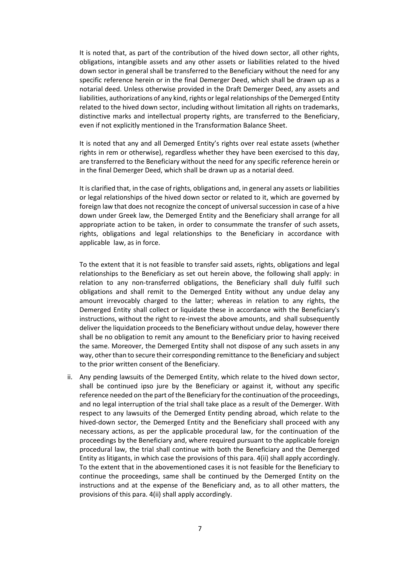It is noted that, as part of the contribution of the hived down sector, all other rights, obligations, intangible assets and any other assets or liabilities related to the hived down sector in general shall be transferred to the Beneficiary without the need for any specific reference herein or in the final Demerger Deed, which shall be drawn up as a notarial deed. Unless otherwise provided in the Draft Demerger Deed, any assets and liabilities, authorizations of any kind, rights or legal relationships of the Demerged Entity related to the hived down sector, including without limitation all rights on trademarks, distinctive marks and intellectual property rights, are transferred to the Beneficiary, even if not explicitly mentioned in the Transformation Balance Sheet.

It is noted that any and all Demerged Entity's rights over real estate assets (whether rights in rem or otherwise), regardless whether they have been exercised to this day, are transferred to the Beneficiary without the need for any specific reference herein or in the final Demerger Deed, which shall be drawn up as a notarial deed.

It is clarified that, in the case of rights, obligations and, in general any assets or liabilities or legal relationships of the hived down sector or related to it, which are governed by foreign law that does not recognize the concept of universal succession in case of a hive down under Greek law, the Demerged Entity and the Beneficiary shall arrange for all appropriate action to be taken, in order to consummate the transfer of such assets, rights, obligations and legal relationships to the Beneficiary in accordance with applicable law, as in force.

To the extent that it is not feasible to transfer said assets, rights, obligations and legal relationships to the Beneficiary as set out herein above, the following shall apply: in relation to any non-transferred obligations, the Beneficiary shall duly fulfil such obligations and shall remit to the Demerged Entity without any undue delay any amount irrevocably charged to the latter; whereas in relation to any rights, the Demerged Entity shall collect or liquidate these in accordance with the Beneficiary's instructions, without the right to re-invest the above amounts, and shall subsequently deliver the liquidation proceeds to the Beneficiary without undue delay, however there shall be no obligation to remit any amount to the Beneficiary prior to having received the same. Moreover, the Demerged Entity shall not dispose of any such assets in any way, other than to secure their corresponding remittance to the Beneficiary and subject to the prior written consent of the Beneficiary.

ii. Any pending lawsuits of the Demerged Entity, which relate to the hived down sector, shall be continued ipso jure by the Beneficiary or against it, without any specific reference needed on the part of the Beneficiary for the continuation of the proceedings, and no legal interruption of the trial shall take place as a result of the Demerger. With respect to any lawsuits of the Demerged Entity pending abroad, which relate to the hived-down sector, the Demerged Entity and the Beneficiary shall proceed with any necessary actions, as per the applicable procedural law, for the continuation of the proceedings by the Beneficiary and, where required pursuant to the applicable foreign procedural law, the trial shall continue with both the Beneficiary and the Demerged Entity as litigants, in which case the provisions of this para. 4(ii) shall apply accordingly. To the extent that in the abovementioned cases it is not feasible for the Beneficiary to continue the proceedings, same shall be continued by the Demerged Entity on the instructions and at the expense of the Beneficiary and, as to all other matters, the provisions of this para. 4(ii) shall apply accordingly.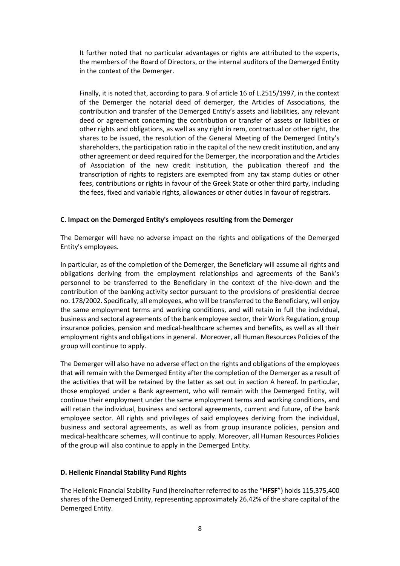It further noted that no particular advantages or rights are attributed to the experts, the members of the Board of Directors, or the internal auditors of the Demerged Entity in the context of the Demerger.

Finally, it is noted that, according to para. 9 of article 16 of L.2515/1997, in the context of the Demerger the notarial deed of demerger, the Articles of Associations, the contribution and transfer of the Demerged Entity's assets and liabilities, any relevant deed or agreement concerning the contribution or transfer of assets or liabilities or other rights and obligations, as well as any right in rem, contractual or other right, the shares to be issued, the resolution of the General Meeting of the Demerged Entity's shareholders, the participation ratio in the capital of the new credit institution, and any other agreement or deed required for the Demerger, the incorporation and the Articles of Association of the new credit institution, the publication thereof and the transcription of rights to registers are exempted from any tax stamp duties or other fees, contributions or rights in favour of the Greek State or other third party, including the fees, fixed and variable rights, allowances or other duties in favour of registrars.

### **C. Impact on the Demerged Entity's employees resulting from the Demerger**

The Demerger will have no adverse impact on the rights and obligations of the Demerged Entity's employees.

In particular, as of the completion of the Demerger, the Beneficiary will assume all rights and obligations deriving from the employment relationships and agreements of the Bank's personnel to be transferred to the Beneficiary in the context of the hive-down and the contribution of the banking activity sector pursuant to the provisions of presidential decree no. 178/2002. Specifically, all employees, who will be transferred to the Beneficiary, will enjoy the same employment terms and working conditions, and will retain in full the individual, business and sectoral agreements of the bank employee sector, their Work Regulation, group insurance policies, pension and medical-healthcare schemes and benefits, as well as all their employment rights and obligations in general. Moreover, all Human Resources Policies of the group will continue to apply.

The Demerger will also have no adverse effect on the rights and obligations of the employees that will remain with the Demerged Entity after the completion of the Demerger as a result of the activities that will be retained by the latter as set out in section A hereof. In particular, those employed under a Bank agreement, who will remain with the Demerged Entity, will continue their employment under the same employment terms and working conditions, and will retain the individual, business and sectoral agreements, current and future, of the bank employee sector. All rights and privileges of said employees deriving from the individual, business and sectoral agreements, as well as from group insurance policies, pension and medical-healthcare schemes, will continue to apply. Moreover, all Human Resources Policies of the group will also continue to apply in the Demerged Entity.

#### **D. Hellenic Financial Stability Fund Rights**

The Hellenic Financial Stability Fund (hereinafter referred to as the "**HFSF**") holds 115,375,400 shares of the Demerged Entity, representing approximately 26.42% of the share capital of the Demerged Entity.